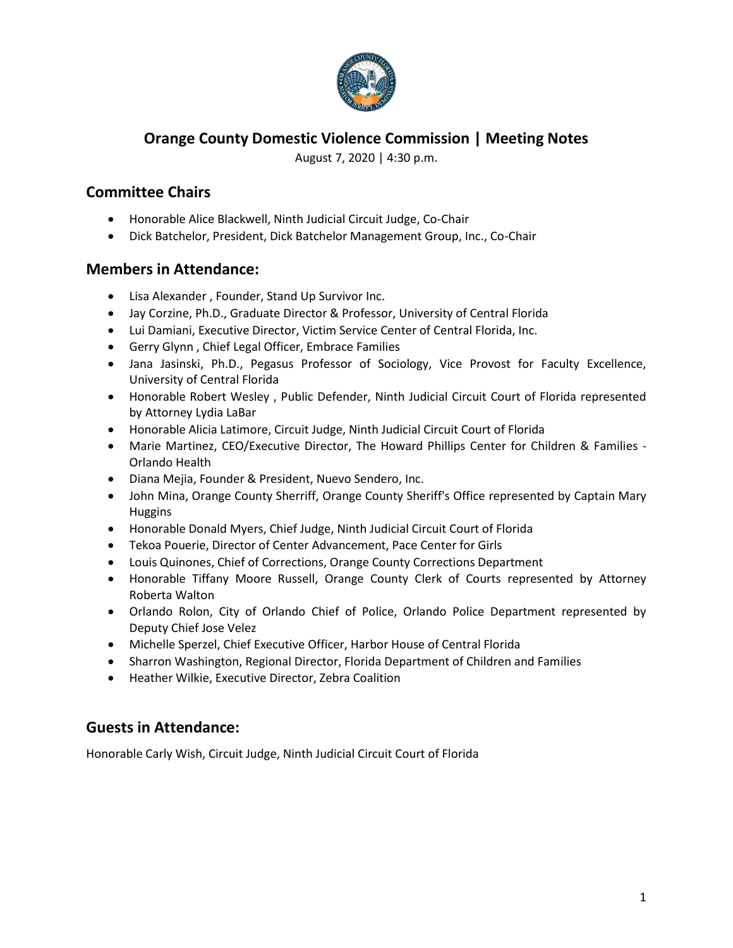

## **Orange County Domestic Violence Commission | Meeting Notes**

August 7, 2020 | 4:30 p.m.

# **Committee Chairs**

- Honorable Alice Blackwell, Ninth Judicial Circuit Judge, Co-Chair
- Dick Batchelor, President, Dick Batchelor Management Group, Inc., Co-Chair

### **Members in Attendance:**

- Lisa Alexander , Founder, Stand Up Survivor Inc.
- Jay Corzine, Ph.D., Graduate Director & Professor, University of Central Florida
- Lui Damiani, Executive Director, Victim Service Center of Central Florida, Inc.
- Gerry Glynn , Chief Legal Officer, Embrace Families
- Jana Jasinski, Ph.D., Pegasus Professor of Sociology, Vice Provost for Faculty Excellence, University of Central Florida
- Honorable Robert Wesley , Public Defender, Ninth Judicial Circuit Court of Florida represented by Attorney Lydia LaBar
- Honorable Alicia Latimore, Circuit Judge, Ninth Judicial Circuit Court of Florida
- Marie Martinez, CEO/Executive Director, The Howard Phillips Center for Children & Families Orlando Health
- Diana Mejia, Founder & President, Nuevo Sendero, Inc.
- John Mina, Orange County Sherriff, Orange County Sheriff's Office represented by Captain Mary Huggins
- Honorable Donald Myers, Chief Judge, Ninth Judicial Circuit Court of Florida
- Tekoa Pouerie, Director of Center Advancement, Pace Center for Girls
- Louis Quinones, Chief of Corrections, Orange County Corrections Department
- Honorable Tiffany Moore Russell, Orange County Clerk of Courts represented by Attorney Roberta Walton
- Orlando Rolon, City of Orlando Chief of Police, Orlando Police Department represented by Deputy Chief Jose Velez
- Michelle Sperzel, Chief Executive Officer, Harbor House of Central Florida
- Sharron Washington, Regional Director, Florida Department of Children and Families
- Heather Wilkie, Executive Director, Zebra Coalition

## **Guests in Attendance:**

Honorable Carly Wish, Circuit Judge, Ninth Judicial Circuit Court of Florida